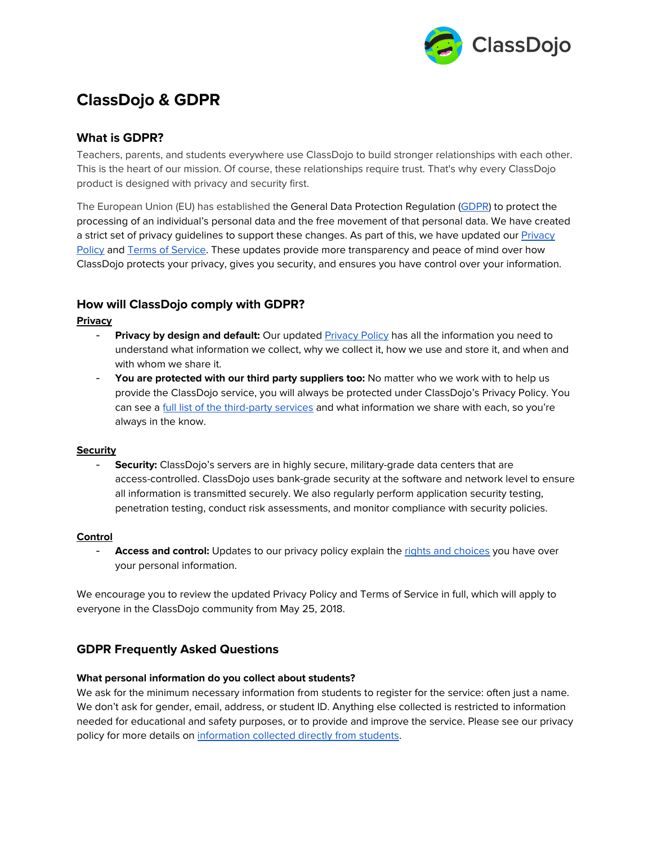

# **ClassDojo & GDPR**

# **What is GDPR?**

Teachers, parents, and students everywhere use ClassDojo to build stronger relationships with each other. This is the heart of our mission. Of course, these relationships require trust. That's why every ClassDojo product is designed with privacy and security first.

The European Union (EU) has established the General Data Protection Regulation [\(GDPR](https://gdpr-info.eu/)) to protect the processing of an individual's personal data and the free movement of that personal data. We have created a strict set of privacy guidelines to support these changes. As part of this, we have updated our [Privacy](https://www.classdojo.com/privacy/) [Policy](https://www.classdojo.com/privacy/) and Terms of [Service.](https://www.classdojo.com/terms/) These updates provide more transparency and peace of mind over how ClassDojo protects your privacy, gives you security, and ensures you have control over your information.

## **How will ClassDojo comply with GDPR?**

## **Privacy**

- **Privacy by design and default:** Our updated [Privacy](https://www.classdojo.com/privacy/) Policy has all the information you need to understand what information we collect, why we collect it, how we use and store it, and when and with whom we share it.
- **You are protected with our third party suppliers too:** No matter who we work with to help us provide the ClassDojo service, you will always be protected under ClassDojo's Privacy Policy. You can see a full list of the [third-party](https://classdojo.zendesk.com/hc/en-us/articles/203732189) services and what information we share with each, so you're always in the know.

## **Security**

- **Security:** ClassDojo's servers are in highly secure, military-grade data centers that are access-controlled. ClassDojo uses bank-grade security at the software and network level to ensure all information is transmitted securely. We also regularly perform application security testing, penetration testing, conduct risk assessments, and monitor compliance with security policies.

## **Control**

Access and control: Updates to our privacy policy explain the rights and [choices](https://www.classdojo.com/privacy/#ClassDojosCommitmentsToProvidingTransparencyAndChoice) you have over your personal information.

We encourage you to review the updated Privacy Policy and Terms of Service in full, which will apply to everyone in the ClassDojo community from May 25, 2018.

## **GDPR Frequently Asked Questions**

## **What personal information do you collect about students?**

We ask for the minimum necessary information from students to register for the service: often just a name. We don't ask for gender, email, address, or student ID. Anything else collected is restricted to information needed for educational and safety purposes, or to provide and improve the service. Please see our privacy policy for more details on [information](https://www.classdojo.com/privacy/#HowDoesClassDojoProjectChildrensPersonalInformation) collected directly from students.